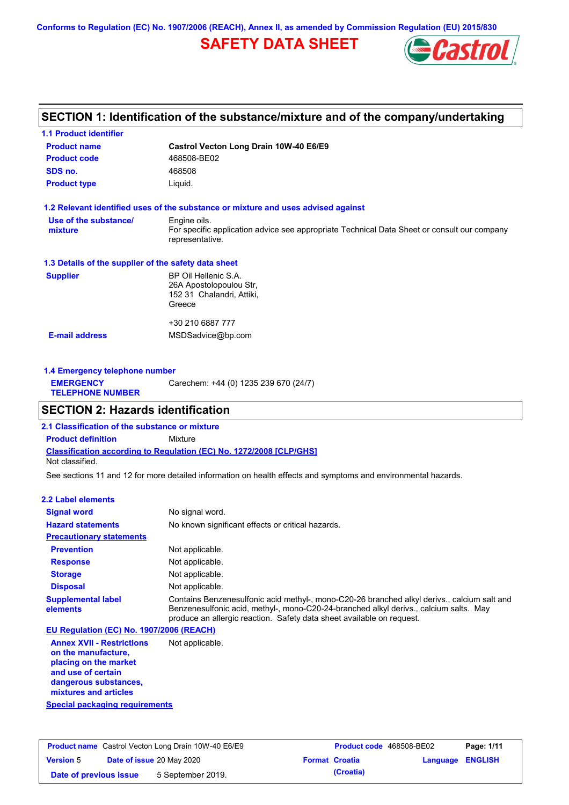**Conforms to Regulation (EC) No. 1907/2006 (REACH), Annex II, as amended by Commission Regulation (EU) 2015/830**

## **SAFETY DATA SHEET**



## **SECTION 1: Identification of the substance/mixture and of the company/undertaking**

| <b>1.1 Product identifier</b>                        |                                                                                                                |
|------------------------------------------------------|----------------------------------------------------------------------------------------------------------------|
| <b>Product name</b>                                  | Castrol Vecton Long Drain 10W-40 E6/E9                                                                         |
| <b>Product code</b>                                  | 468508-BE02                                                                                                    |
| SDS no.                                              | 468508                                                                                                         |
| <b>Product type</b>                                  | Liquid.                                                                                                        |
|                                                      | 1.2 Relevant identified uses of the substance or mixture and uses advised against                              |
| Use of the substance/                                | Engine oils.                                                                                                   |
| mixture                                              | For specific application advice see appropriate Technical Data Sheet or consult our company<br>representative. |
| 1.3 Details of the supplier of the safety data sheet |                                                                                                                |
| <b>Supplier</b>                                      | BP Oil Hellenic S.A.                                                                                           |
|                                                      | 26A Apostolopoulou Str,                                                                                        |
|                                                      | 152 31 Chalandri, Attiki,                                                                                      |
|                                                      | Greece                                                                                                         |
|                                                      | +30 210 6887 777                                                                                               |
| <b>E-mail address</b>                                | MSDSadvice@bp.com                                                                                              |
|                                                      |                                                                                                                |
|                                                      |                                                                                                                |

| 1.4 Emergency telephone number              |                                       |  |  |
|---------------------------------------------|---------------------------------------|--|--|
| <b>EMERGENCY</b><br><b>TELEPHONE NUMBER</b> | Carechem: +44 (0) 1235 239 670 (24/7) |  |  |

## **SECTION 2: Hazards identification**

**Classification according to Regulation (EC) No. 1272/2008 [CLP/GHS] 2.1 Classification of the substance or mixture Product definition** Mixture Not classified.

See sections 11 and 12 for more detailed information on health effects and symptoms and environmental hazards.

#### **2.2 Label elements**

| <b>Signal word</b>                       | No signal word.                                                                                                                                                                                                                                               |
|------------------------------------------|---------------------------------------------------------------------------------------------------------------------------------------------------------------------------------------------------------------------------------------------------------------|
| <b>Hazard statements</b>                 | No known significant effects or critical hazards.                                                                                                                                                                                                             |
| <b>Precautionary statements</b>          |                                                                                                                                                                                                                                                               |
| <b>Prevention</b>                        | Not applicable.                                                                                                                                                                                                                                               |
| <b>Response</b>                          | Not applicable.                                                                                                                                                                                                                                               |
| <b>Storage</b>                           | Not applicable.                                                                                                                                                                                                                                               |
| <b>Disposal</b>                          | Not applicable.                                                                                                                                                                                                                                               |
| <b>Supplemental label</b><br>elements    | Contains Benzenesulfonic acid methyl-, mono-C20-26 branched alkyl derivs., calcium salt and<br>Benzenesulfonic acid, methyl-, mono-C20-24-branched alkyl derivs., calcium salts. May<br>produce an allergic reaction. Safety data sheet available on request. |
| EU Regulation (EC) No. 1907/2006 (REACH) |                                                                                                                                                                                                                                                               |
| <b>Annex XVII - Restrictions</b>         | Not applicable.                                                                                                                                                                                                                                               |

**Annex XVII - Restrictions on the manufacture, placing on the market and use of certain dangerous substances, mixtures and articles**

**Special packaging requirements**

| <b>Product name</b> Castrol Vecton Long Drain 10W-40 E6/E9 |  | <b>Product code</b> 468508-BE02  |  | Page: 1/11            |                         |  |
|------------------------------------------------------------|--|----------------------------------|--|-----------------------|-------------------------|--|
| <b>Version 5</b>                                           |  | <b>Date of issue 20 May 2020</b> |  | <b>Format Croatia</b> | <b>Language ENGLISH</b> |  |
| Date of previous issue                                     |  | 5 September 2019.                |  | (Croatia)             |                         |  |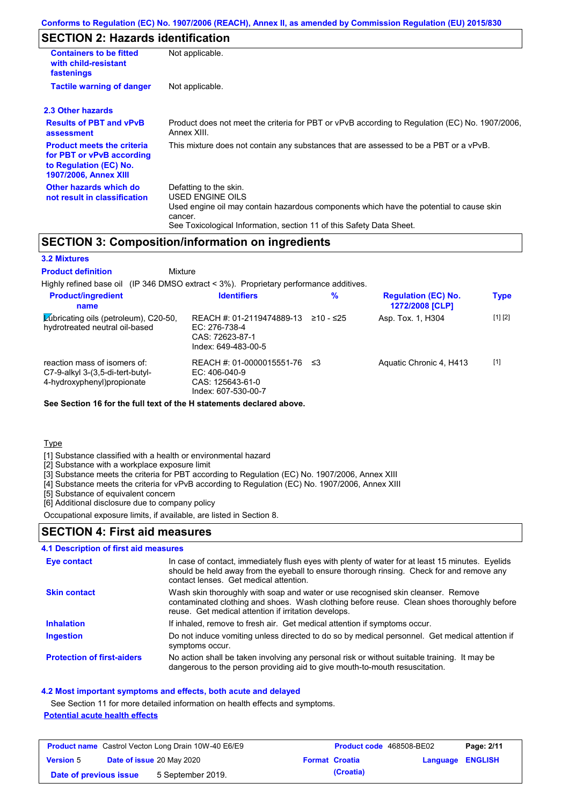## **SECTION 2: Hazards identification**

| <b>Containers to be fitted</b><br>with child-resistant<br>fastenings                                              | Not applicable.                                                                                                                                                                                                          |
|-------------------------------------------------------------------------------------------------------------------|--------------------------------------------------------------------------------------------------------------------------------------------------------------------------------------------------------------------------|
| <b>Tactile warning of danger</b>                                                                                  | Not applicable.                                                                                                                                                                                                          |
| 2.3 Other hazards                                                                                                 |                                                                                                                                                                                                                          |
| <b>Results of PBT and vPvB</b><br>assessment                                                                      | Product does not meet the criteria for PBT or vPvB according to Regulation (EC) No. 1907/2006,<br>Annex XIII.                                                                                                            |
| <b>Product meets the criteria</b><br>for PBT or vPvB according<br>to Regulation (EC) No.<br>1907/2006, Annex XIII | This mixture does not contain any substances that are assessed to be a PBT or a vPvB.                                                                                                                                    |
| Other hazards which do<br>not result in classification                                                            | Defatting to the skin.<br>USED ENGINE OILS<br>Used engine oil may contain hazardous components which have the potential to cause skin<br>cancer.<br>See Toxicological Information, section 11 of this Safety Data Sheet. |

## **SECTION 3: Composition/information on ingredients**

| <b>3.2 Mixtures</b>                                                                               |                                                                                         |           |                                               |             |
|---------------------------------------------------------------------------------------------------|-----------------------------------------------------------------------------------------|-----------|-----------------------------------------------|-------------|
| <b>Product definition</b><br>Mixture                                                              |                                                                                         |           |                                               |             |
| Highly refined base oil (IP 346 DMSO extract < 3%). Proprietary performance additives.            |                                                                                         |           |                                               |             |
| <b>Product/ingredient</b><br>name                                                                 | <b>Identifiers</b>                                                                      | $\%$      | <b>Regulation (EC) No.</b><br>1272/2008 [CLP] | <b>Type</b> |
| Lubricating oils (petroleum), C20-50,<br>hydrotreated neutral oil-based                           | REACH #: 01-2119474889-13<br>$EC: 276-738-4$<br>CAS: 72623-87-1<br>Index: 649-483-00-5  | ≥10 - ≤25 | Asp. Tox. 1, H304                             | [1] [2]     |
| reaction mass of isomers of:<br>$C7-9-alkyl$ 3-(3,5-di-tert-butyl-<br>4-hydroxyphenyl) propionate | REACH #: 01-0000015551-76<br>$EC: 406-040-9$<br>CAS: 125643-61-0<br>Index: 607-530-00-7 | -≤3       | Aquatic Chronic 4, H413                       | $[1]$       |

**See Section 16 for the full text of the H statements declared above.**

**Type** 

[1] Substance classified with a health or environmental hazard

[2] Substance with a workplace exposure limit

[3] Substance meets the criteria for PBT according to Regulation (EC) No. 1907/2006, Annex XIII

[4] Substance meets the criteria for vPvB according to Regulation (EC) No. 1907/2006, Annex XIII

[5] Substance of equivalent concern

[6] Additional disclosure due to company policy

Occupational exposure limits, if available, are listed in Section 8.

### **SECTION 4: First aid measures**

#### **4.1 Description of first aid measures**

| Eye contact                       | In case of contact, immediately flush eyes with plenty of water for at least 15 minutes. Eyelids<br>should be held away from the eyeball to ensure thorough rinsing. Check for and remove any<br>contact lenses. Get medical attention. |
|-----------------------------------|-----------------------------------------------------------------------------------------------------------------------------------------------------------------------------------------------------------------------------------------|
| <b>Skin contact</b>               | Wash skin thoroughly with soap and water or use recognised skin cleanser. Remove<br>contaminated clothing and shoes. Wash clothing before reuse. Clean shoes thoroughly before<br>reuse. Get medical attention if irritation develops.  |
| <b>Inhalation</b>                 | If inhaled, remove to fresh air. Get medical attention if symptoms occur.                                                                                                                                                               |
| Ingestion                         | Do not induce vomiting unless directed to do so by medical personnel. Get medical attention if<br>symptoms occur.                                                                                                                       |
| <b>Protection of first-aiders</b> | No action shall be taken involving any personal risk or without suitable training. It may be<br>dangerous to the person providing aid to give mouth-to-mouth resuscitation.                                                             |

#### **4.2 Most important symptoms and effects, both acute and delayed**

See Section 11 for more detailed information on health effects and symptoms.

### **Potential acute health effects**

| <b>Product name</b> Castrol Vecton Long Drain 10W-40 E6/E9 |  | <b>Product code</b> 468508-BE02  |  | Page: 2/11            |                         |  |
|------------------------------------------------------------|--|----------------------------------|--|-----------------------|-------------------------|--|
| <b>Version 5</b>                                           |  | <b>Date of issue 20 May 2020</b> |  | <b>Format Croatia</b> | <b>Language ENGLISH</b> |  |
| Date of previous issue                                     |  | 5 September 2019.                |  | (Croatia)             |                         |  |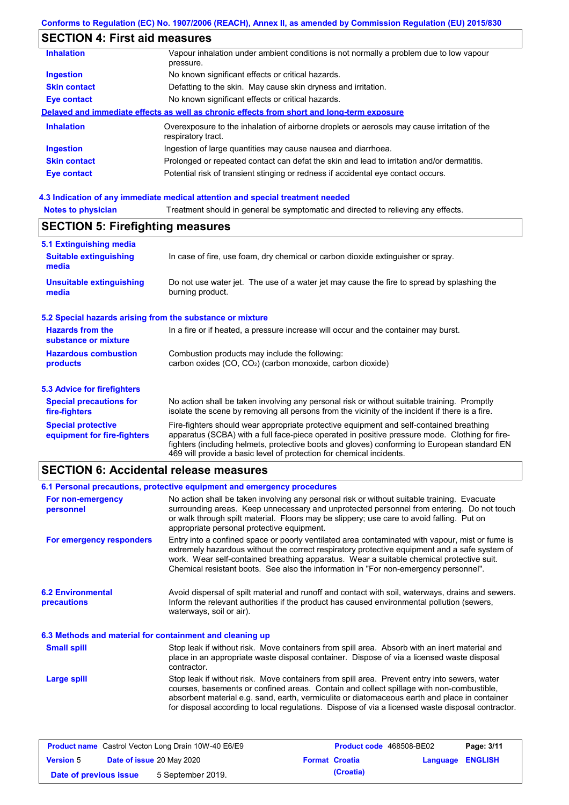# **SECTION 4: First aid measures**

| <b>Inhalation</b>   | Vapour inhalation under ambient conditions is not normally a problem due to low vapour<br>pressure.               |
|---------------------|-------------------------------------------------------------------------------------------------------------------|
| <b>Ingestion</b>    | No known significant effects or critical hazards.                                                                 |
| <b>Skin contact</b> | Defatting to the skin. May cause skin dryness and irritation.                                                     |
| <b>Eye contact</b>  | No known significant effects or critical hazards.                                                                 |
|                     | Delayed and immediate effects as well as chronic effects from short and long-term exposure                        |
| <b>Inhalation</b>   | Overexposure to the inhalation of airborne droplets or aerosols may cause irritation of the<br>respiratory tract. |
| <b>Ingestion</b>    | Ingestion of large quantities may cause nausea and diarrhoea.                                                     |
| <b>Skin contact</b> | Prolonged or repeated contact can defat the skin and lead to irritation and/or dermatitis.                        |
| <b>Eye contact</b>  | Potential risk of transient stinging or redness if accidental eye contact occurs.                                 |
|                     |                                                                                                                   |

## **4.3 Indication of any immediate medical attention and special treatment needed**

| 5.1 Extinguishing media                                                                                                                                    |                                                                                                                                                                                                                                                                                                                                                                   |  |  |
|------------------------------------------------------------------------------------------------------------------------------------------------------------|-------------------------------------------------------------------------------------------------------------------------------------------------------------------------------------------------------------------------------------------------------------------------------------------------------------------------------------------------------------------|--|--|
| <b>Suitable extinguishing</b><br>media                                                                                                                     | In case of fire, use foam, dry chemical or carbon dioxide extinguisher or spray.                                                                                                                                                                                                                                                                                  |  |  |
| <b>Unsuitable extinguishing</b><br>Do not use water jet. The use of a water jet may cause the fire to spread by splashing the<br>burning product.<br>media |                                                                                                                                                                                                                                                                                                                                                                   |  |  |
| 5.2 Special hazards arising from the substance or mixture                                                                                                  |                                                                                                                                                                                                                                                                                                                                                                   |  |  |
| <b>Hazards from the</b><br>substance or mixture                                                                                                            | In a fire or if heated, a pressure increase will occur and the container may burst.                                                                                                                                                                                                                                                                               |  |  |
| <b>Hazardous combustion</b>                                                                                                                                | Combustion products may include the following:                                                                                                                                                                                                                                                                                                                    |  |  |
| products                                                                                                                                                   | carbon oxides (CO, CO <sub>2</sub> ) (carbon monoxide, carbon dioxide)                                                                                                                                                                                                                                                                                            |  |  |
| <b>5.3 Advice for firefighters</b>                                                                                                                         |                                                                                                                                                                                                                                                                                                                                                                   |  |  |
| <b>Special precautions for</b><br>fire-fighters                                                                                                            | No action shall be taken involving any personal risk or without suitable training. Promptly<br>isolate the scene by removing all persons from the vicinity of the incident if there is a fire.                                                                                                                                                                    |  |  |
| <b>Special protective</b><br>equipment for fire-fighters                                                                                                   | Fire-fighters should wear appropriate protective equipment and self-contained breathing<br>apparatus (SCBA) with a full face-piece operated in positive pressure mode. Clothing for fire-<br>fighters (including helmets, protective boots and gloves) conforming to European standard EN<br>469 will provide a basic level of protection for chemical incidents. |  |  |

### **SECTION 6: Accidental release measures**

|                                                                                                                                                                                                                                                                                                                                                                       | 6.1 Personal precautions, protective equipment and emergency procedures                                                                                                                                                                                                                                                                                                                        |  |
|-----------------------------------------------------------------------------------------------------------------------------------------------------------------------------------------------------------------------------------------------------------------------------------------------------------------------------------------------------------------------|------------------------------------------------------------------------------------------------------------------------------------------------------------------------------------------------------------------------------------------------------------------------------------------------------------------------------------------------------------------------------------------------|--|
| No action shall be taken involving any personal risk or without suitable training. Evacuate<br>For non-emergency<br>surrounding areas. Keep unnecessary and unprotected personnel from entering. Do not touch<br>personnel<br>or walk through spilt material. Floors may be slippery; use care to avoid falling. Put on<br>appropriate personal protective equipment. |                                                                                                                                                                                                                                                                                                                                                                                                |  |
| For emergency responders                                                                                                                                                                                                                                                                                                                                              | Entry into a confined space or poorly ventilated area contaminated with vapour, mist or fume is<br>extremely hazardous without the correct respiratory protective equipment and a safe system of<br>work. Wear self-contained breathing apparatus. Wear a suitable chemical protective suit.<br>Chemical resistant boots. See also the information in "For non-emergency personnel".           |  |
| <b>6.2 Environmental</b><br>precautions                                                                                                                                                                                                                                                                                                                               | Avoid dispersal of spilt material and runoff and contact with soil, waterways, drains and sewers.<br>Inform the relevant authorities if the product has caused environmental pollution (sewers,<br>waterways, soil or air).                                                                                                                                                                    |  |
| 6.3 Methods and material for containment and cleaning up                                                                                                                                                                                                                                                                                                              |                                                                                                                                                                                                                                                                                                                                                                                                |  |
| <b>Small spill</b>                                                                                                                                                                                                                                                                                                                                                    | Stop leak if without risk. Move containers from spill area. Absorb with an inert material and<br>place in an appropriate waste disposal container. Dispose of via a licensed waste disposal<br>contractor.                                                                                                                                                                                     |  |
| Large spill                                                                                                                                                                                                                                                                                                                                                           | Stop leak if without risk. Move containers from spill area. Prevent entry into sewers, water<br>courses, basements or confined areas. Contain and collect spillage with non-combustible,<br>absorbent material e.g. sand, earth, vermiculite or diatomaceous earth and place in container<br>for disposal according to local regulations. Dispose of via a licensed waste disposal contractor. |  |

| <b>Product name</b> Castrol Vecton Long Drain 10W-40 E6/E9 |  |                           | <b>Product code</b> 468508-BE02 |                       | Page: 3/11              |  |
|------------------------------------------------------------|--|---------------------------|---------------------------------|-----------------------|-------------------------|--|
| <b>Version 5</b>                                           |  | Date of issue 20 May 2020 |                                 | <b>Format Croatia</b> | <b>Language ENGLISH</b> |  |
| Date of previous issue                                     |  | 5 September 2019.         |                                 | (Croatia)             |                         |  |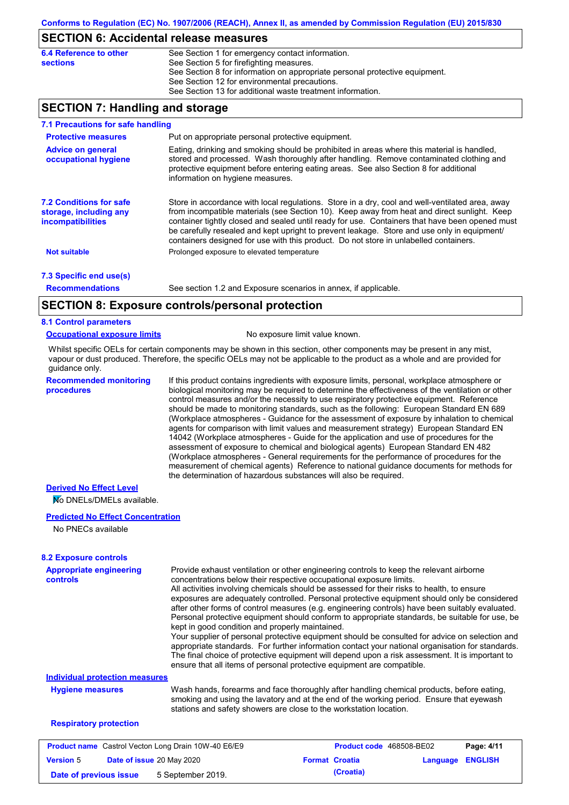### **SECTION 6: Accidental release measures**

| 6.4 Reference to other | See Section 1 for emergency contact information.                            |
|------------------------|-----------------------------------------------------------------------------|
| sections               | See Section 5 for firefighting measures.                                    |
|                        | See Section 8 for information on appropriate personal protective equipment. |
|                        | See Section 12 for environmental precautions.                               |
|                        | See Section 13 for additional waste treatment information.                  |

## **SECTION 7: Handling and storage**

| 7.1 Precautions for safe handling                                                    |                                                                                                                                                                                                                                                                                                                                                                                                                                                                                          |
|--------------------------------------------------------------------------------------|------------------------------------------------------------------------------------------------------------------------------------------------------------------------------------------------------------------------------------------------------------------------------------------------------------------------------------------------------------------------------------------------------------------------------------------------------------------------------------------|
| <b>Protective measures</b>                                                           | Put on appropriate personal protective equipment.                                                                                                                                                                                                                                                                                                                                                                                                                                        |
| <b>Advice on general</b><br>occupational hygiene                                     | Eating, drinking and smoking should be prohibited in areas where this material is handled,<br>stored and processed. Wash thoroughly after handling. Remove contaminated clothing and<br>protective equipment before entering eating areas. See also Section 8 for additional<br>information on hygiene measures.                                                                                                                                                                         |
| <b>7.2 Conditions for safe</b><br>storage, including any<br><i>incompatibilities</i> | Store in accordance with local regulations. Store in a dry, cool and well-ventilated area, away<br>from incompatible materials (see Section 10). Keep away from heat and direct sunlight. Keep<br>container tightly closed and sealed until ready for use. Containers that have been opened must<br>be carefully resealed and kept upright to prevent leakage. Store and use only in equipment/<br>containers designed for use with this product. Do not store in unlabelled containers. |
| <b>Not suitable</b>                                                                  | Prolonged exposure to elevated temperature                                                                                                                                                                                                                                                                                                                                                                                                                                               |
| 7.3 Specific end use(s)                                                              |                                                                                                                                                                                                                                                                                                                                                                                                                                                                                          |
| <b>Recommendations</b>                                                               | See section 1.2 and Exposure scenarios in annex, if applicable.                                                                                                                                                                                                                                                                                                                                                                                                                          |
|                                                                                      | CECTION 0. Evacouse controlainescanal protection                                                                                                                                                                                                                                                                                                                                                                                                                                         |

## **SECTION 8: Exposure controls/personal protection**

#### **8.1 Control parameters**

#### **Occupational exposure limits** No exposure limit value known.

Whilst specific OELs for certain components may be shown in this section, other components may be present in any mist, vapour or dust produced. Therefore, the specific OELs may not be applicable to the product as a whole and are provided for guidance only.

**Recommended monitoring procedures**

If this product contains ingredients with exposure limits, personal, workplace atmosphere or biological monitoring may be required to determine the effectiveness of the ventilation or other control measures and/or the necessity to use respiratory protective equipment. Reference should be made to monitoring standards, such as the following: European Standard EN 689 (Workplace atmospheres - Guidance for the assessment of exposure by inhalation to chemical agents for comparison with limit values and measurement strategy) European Standard EN 14042 (Workplace atmospheres - Guide for the application and use of procedures for the assessment of exposure to chemical and biological agents) European Standard EN 482 (Workplace atmospheres - General requirements for the performance of procedures for the measurement of chemical agents) Reference to national guidance documents for methods for the determination of hazardous substances will also be required.

### **Derived No Effect Level**

No DNELs/DMELs available.

#### **Predicted No Effect Concentration**

No PNECs available

| <b>8.2 Exposure controls</b>                               |                                                                                                                                                                                                                                                                                                                                                                                                                                                                                                                                                                                                                                                                                                                                                                                                                                                                                                                                                                                                         |                          |          |                |
|------------------------------------------------------------|---------------------------------------------------------------------------------------------------------------------------------------------------------------------------------------------------------------------------------------------------------------------------------------------------------------------------------------------------------------------------------------------------------------------------------------------------------------------------------------------------------------------------------------------------------------------------------------------------------------------------------------------------------------------------------------------------------------------------------------------------------------------------------------------------------------------------------------------------------------------------------------------------------------------------------------------------------------------------------------------------------|--------------------------|----------|----------------|
| <b>Appropriate engineering</b><br><b>controls</b>          | Provide exhaust ventilation or other engineering controls to keep the relevant airborne<br>concentrations below their respective occupational exposure limits.<br>All activities involving chemicals should be assessed for their risks to health, to ensure<br>exposures are adequately controlled. Personal protective equipment should only be considered<br>after other forms of control measures (e.g. engineering controls) have been suitably evaluated.<br>Personal protective equipment should conform to appropriate standards, be suitable for use, be<br>kept in good condition and properly maintained.<br>Your supplier of personal protective equipment should be consulted for advice on selection and<br>appropriate standards. For further information contact your national organisation for standards.<br>The final choice of protective equipment will depend upon a risk assessment. It is important to<br>ensure that all items of personal protective equipment are compatible. |                          |          |                |
| <b>Individual protection measures</b>                      |                                                                                                                                                                                                                                                                                                                                                                                                                                                                                                                                                                                                                                                                                                                                                                                                                                                                                                                                                                                                         |                          |          |                |
| <b>Hygiene measures</b>                                    | Wash hands, forearms and face thoroughly after handling chemical products, before eating,<br>smoking and using the lavatory and at the end of the working period. Ensure that eyewash<br>stations and safety showers are close to the workstation location.                                                                                                                                                                                                                                                                                                                                                                                                                                                                                                                                                                                                                                                                                                                                             |                          |          |                |
| <b>Respiratory protection</b>                              |                                                                                                                                                                                                                                                                                                                                                                                                                                                                                                                                                                                                                                                                                                                                                                                                                                                                                                                                                                                                         |                          |          |                |
| <b>Product name</b> Castrol Vecton Long Drain 10W-40 E6/E9 |                                                                                                                                                                                                                                                                                                                                                                                                                                                                                                                                                                                                                                                                                                                                                                                                                                                                                                                                                                                                         | Product code 468508-BE02 |          | Page: 4/11     |
| Date of issue 20 May 2020<br><b>Version 5</b>              |                                                                                                                                                                                                                                                                                                                                                                                                                                                                                                                                                                                                                                                                                                                                                                                                                                                                                                                                                                                                         | <b>Format Croatia</b>    | Language | <b>ENGLISH</b> |

**Date of previous issue 5** September 2019. **Croatia**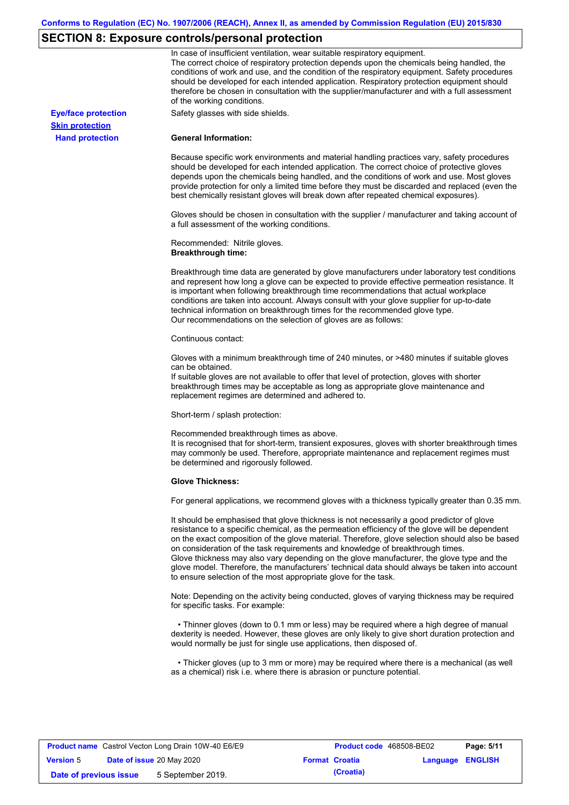# **SECTION 8: Exposure controls/personal protection**

|                            | In case of insufficient ventilation, wear suitable respiratory equipment.<br>The correct choice of respiratory protection depends upon the chemicals being handled, the<br>conditions of work and use, and the condition of the respiratory equipment. Safety procedures<br>should be developed for each intended application. Respiratory protection equipment should<br>therefore be chosen in consultation with the supplier/manufacturer and with a full assessment<br>of the working conditions.                                                                                                                                             |
|----------------------------|---------------------------------------------------------------------------------------------------------------------------------------------------------------------------------------------------------------------------------------------------------------------------------------------------------------------------------------------------------------------------------------------------------------------------------------------------------------------------------------------------------------------------------------------------------------------------------------------------------------------------------------------------|
| <b>Eye/face protection</b> | Safety glasses with side shields.                                                                                                                                                                                                                                                                                                                                                                                                                                                                                                                                                                                                                 |
| <b>Skin protection</b>     |                                                                                                                                                                                                                                                                                                                                                                                                                                                                                                                                                                                                                                                   |
| <b>Hand protection</b>     | <b>General Information:</b>                                                                                                                                                                                                                                                                                                                                                                                                                                                                                                                                                                                                                       |
|                            | Because specific work environments and material handling practices vary, safety procedures<br>should be developed for each intended application. The correct choice of protective gloves<br>depends upon the chemicals being handled, and the conditions of work and use. Most gloves<br>provide protection for only a limited time before they must be discarded and replaced (even the<br>best chemically resistant gloves will break down after repeated chemical exposures).                                                                                                                                                                  |
|                            | Gloves should be chosen in consultation with the supplier / manufacturer and taking account of<br>a full assessment of the working conditions.                                                                                                                                                                                                                                                                                                                                                                                                                                                                                                    |
|                            | Recommended: Nitrile gloves.<br><b>Breakthrough time:</b>                                                                                                                                                                                                                                                                                                                                                                                                                                                                                                                                                                                         |
|                            | Breakthrough time data are generated by glove manufacturers under laboratory test conditions<br>and represent how long a glove can be expected to provide effective permeation resistance. It<br>is important when following breakthrough time recommendations that actual workplace<br>conditions are taken into account. Always consult with your glove supplier for up-to-date<br>technical information on breakthrough times for the recommended glove type.<br>Our recommendations on the selection of gloves are as follows:                                                                                                                |
|                            | Continuous contact:                                                                                                                                                                                                                                                                                                                                                                                                                                                                                                                                                                                                                               |
|                            | Gloves with a minimum breakthrough time of 240 minutes, or >480 minutes if suitable gloves<br>can be obtained.<br>If suitable gloves are not available to offer that level of protection, gloves with shorter<br>breakthrough times may be acceptable as long as appropriate glove maintenance and<br>replacement regimes are determined and adhered to.                                                                                                                                                                                                                                                                                          |
|                            | Short-term / splash protection:                                                                                                                                                                                                                                                                                                                                                                                                                                                                                                                                                                                                                   |
|                            | Recommended breakthrough times as above.<br>It is recognised that for short-term, transient exposures, gloves with shorter breakthrough times<br>may commonly be used. Therefore, appropriate maintenance and replacement regimes must<br>be determined and rigorously followed.                                                                                                                                                                                                                                                                                                                                                                  |
|                            | <b>Glove Thickness:</b>                                                                                                                                                                                                                                                                                                                                                                                                                                                                                                                                                                                                                           |
|                            | For general applications, we recommend gloves with a thickness typically greater than 0.35 mm.                                                                                                                                                                                                                                                                                                                                                                                                                                                                                                                                                    |
|                            | It should be emphasised that glove thickness is not necessarily a good predictor of glove<br>resistance to a specific chemical, as the permeation efficiency of the glove will be dependent<br>on the exact composition of the glove material. Therefore, glove selection should also be based<br>on consideration of the task requirements and knowledge of breakthrough times.<br>Glove thickness may also vary depending on the glove manufacturer, the glove type and the<br>glove model. Therefore, the manufacturers' technical data should always be taken into account<br>to ensure selection of the most appropriate glove for the task. |
|                            | Note: Depending on the activity being conducted, gloves of varying thickness may be required<br>for specific tasks. For example:                                                                                                                                                                                                                                                                                                                                                                                                                                                                                                                  |
|                            | • Thinner gloves (down to 0.1 mm or less) may be required where a high degree of manual<br>dexterity is needed. However, these gloves are only likely to give short duration protection and<br>would normally be just for single use applications, then disposed of.                                                                                                                                                                                                                                                                                                                                                                              |
|                            | • Thicker gloves (up to 3 mm or more) may be required where there is a mechanical (as well<br>as a chemical) risk i.e. where there is abrasion or puncture potential.                                                                                                                                                                                                                                                                                                                                                                                                                                                                             |

|                        | <b>Product name</b> Castrol Vecton Long Drain 10W-40 E6/E9 |                       | <b>Product code</b> 468508-BE02 |                         | Page: 5/11 |
|------------------------|------------------------------------------------------------|-----------------------|---------------------------------|-------------------------|------------|
| <b>Version 5</b>       | <b>Date of issue 20 May 2020</b>                           | <b>Format Croatia</b> |                                 | <b>Language ENGLISH</b> |            |
| Date of previous issue | 5 September 2019.                                          |                       | (Croatia)                       |                         |            |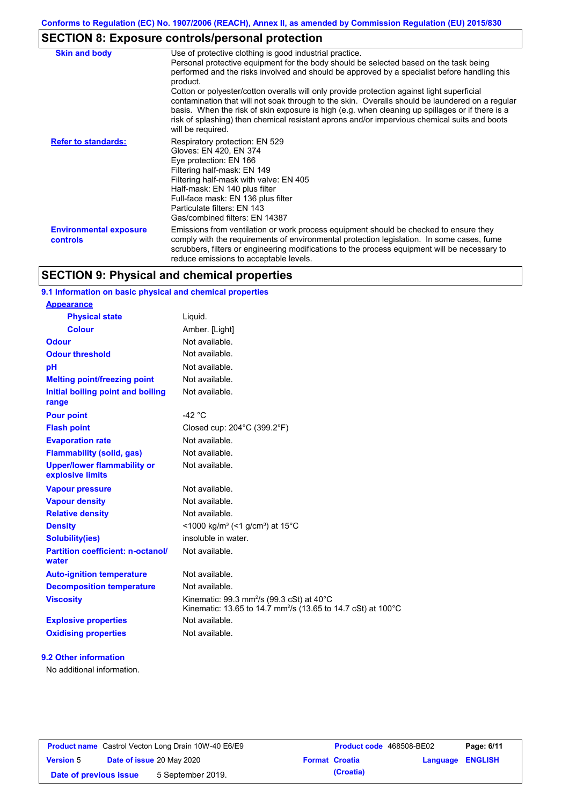# **SECTION 8: Exposure controls/personal protection**

| <b>Skin and body</b>                             | Use of protective clothing is good industrial practice.<br>Personal protective equipment for the body should be selected based on the task being<br>performed and the risks involved and should be approved by a specialist before handling this<br>product.<br>Cotton or polyester/cotton overalls will only provide protection against light superficial<br>contamination that will not soak through to the skin. Overalls should be laundered on a regular<br>basis. When the risk of skin exposure is high (e.g. when cleaning up spillages or if there is a<br>risk of splashing) then chemical resistant aprons and/or impervious chemical suits and boots<br>will be required. |
|--------------------------------------------------|---------------------------------------------------------------------------------------------------------------------------------------------------------------------------------------------------------------------------------------------------------------------------------------------------------------------------------------------------------------------------------------------------------------------------------------------------------------------------------------------------------------------------------------------------------------------------------------------------------------------------------------------------------------------------------------|
| <b>Refer to standards:</b>                       | Respiratory protection: EN 529<br>Gloves: EN 420, EN 374<br>Eye protection: EN 166<br>Filtering half-mask: EN 149<br>Filtering half-mask with valve: EN 405<br>Half-mask: EN 140 plus filter<br>Full-face mask: EN 136 plus filter<br>Particulate filters: EN 143<br>Gas/combined filters: EN 14387                                                                                                                                                                                                                                                                                                                                                                                   |
| <b>Environmental exposure</b><br><b>controls</b> | Emissions from ventilation or work process equipment should be checked to ensure they<br>comply with the requirements of environmental protection legislation. In some cases, fume<br>scrubbers, filters or engineering modifications to the process equipment will be necessary to<br>reduce emissions to acceptable levels.                                                                                                                                                                                                                                                                                                                                                         |

# **SECTION 9: Physical and chemical properties**

## **9.1 Information on basic physical and chemical properties**

| <b>Appearance</b>                                      |                                                                                                                                              |
|--------------------------------------------------------|----------------------------------------------------------------------------------------------------------------------------------------------|
| <b>Physical state</b>                                  | Liquid.                                                                                                                                      |
| <b>Colour</b>                                          | Amber. [Light]                                                                                                                               |
| <b>Odour</b>                                           | Not available.                                                                                                                               |
| <b>Odour threshold</b>                                 | Not available.                                                                                                                               |
| pH                                                     | Not available.                                                                                                                               |
| <b>Melting point/freezing point</b>                    | Not available.                                                                                                                               |
| Initial boiling point and boiling<br>range             | Not available.                                                                                                                               |
| <b>Pour point</b>                                      | -42 $^{\circ}$ C                                                                                                                             |
| <b>Flash point</b>                                     | Closed cup: $204^{\circ}$ C (399.2 $^{\circ}$ F)                                                                                             |
| <b>Evaporation rate</b>                                | Not available                                                                                                                                |
| <b>Flammability (solid, gas)</b>                       | Not available.                                                                                                                               |
| <b>Upper/lower flammability or</b><br>explosive limits | Not available.                                                                                                                               |
| <b>Vapour pressure</b>                                 | Not available.                                                                                                                               |
| <b>Vapour density</b>                                  | Not available.                                                                                                                               |
| <b>Relative density</b>                                | Not available.                                                                                                                               |
| <b>Density</b>                                         | <1000 kg/m <sup>3</sup> (<1 g/cm <sup>3</sup> ) at 15 <sup>°</sup> C                                                                         |
| <b>Solubility(ies)</b>                                 | insoluble in water.                                                                                                                          |
| <b>Partition coefficient: n-octanol/</b><br>water      | Not available.                                                                                                                               |
| <b>Auto-ignition temperature</b>                       | Not available.                                                                                                                               |
| <b>Decomposition temperature</b>                       | Not available.                                                                                                                               |
| <b>Viscosity</b>                                       | Kinematic: 99.3 mm <sup>2</sup> /s (99.3 cSt) at 40 $^{\circ}$ C<br>Kinematic: 13.65 to 14.7 mm <sup>2</sup> /s (13.65 to 14.7 cSt) at 100°C |
| <b>Explosive properties</b>                            | Not available.                                                                                                                               |
| <b>Oxidising properties</b>                            | Not available.                                                                                                                               |

#### **9.2 Other information**

No additional information.

| <b>Product name</b> Castrol Vecton Long Drain 10W-40 E6/E9 |  |                                  | <b>Product code</b> 468508-BE02 |                       | Page: 6/11       |  |
|------------------------------------------------------------|--|----------------------------------|---------------------------------|-----------------------|------------------|--|
| <b>Version 5</b>                                           |  | <b>Date of issue 20 May 2020</b> |                                 | <b>Format Croatia</b> | Language ENGLISH |  |
| Date of previous issue                                     |  | 5 September 2019.                |                                 | (Croatia)             |                  |  |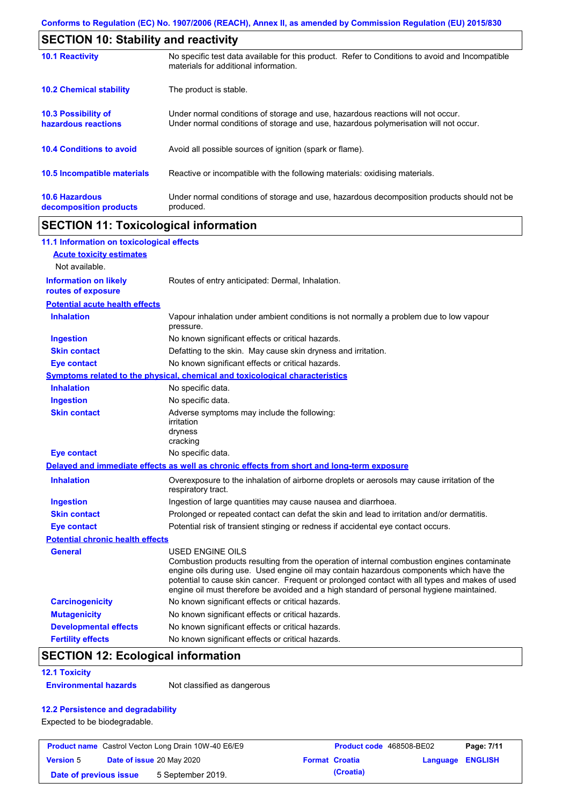| <b>SECTION 10: Stability and reactivity</b>       |                                                                                                                                                                         |  |  |  |
|---------------------------------------------------|-------------------------------------------------------------------------------------------------------------------------------------------------------------------------|--|--|--|
| <b>10.1 Reactivity</b>                            | No specific test data available for this product. Refer to Conditions to avoid and Incompatible<br>materials for additional information.                                |  |  |  |
| <b>10.2 Chemical stability</b>                    | The product is stable.                                                                                                                                                  |  |  |  |
| <b>10.3 Possibility of</b><br>hazardous reactions | Under normal conditions of storage and use, hazardous reactions will not occur.<br>Under normal conditions of storage and use, hazardous polymerisation will not occur. |  |  |  |
| <b>10.4 Conditions to avoid</b>                   | Avoid all possible sources of ignition (spark or flame).                                                                                                                |  |  |  |
| <b>10.5 Incompatible materials</b>                | Reactive or incompatible with the following materials: oxidising materials.                                                                                             |  |  |  |
| <b>10.6 Hazardous</b><br>decomposition products   | Under normal conditions of storage and use, hazardous decomposition products should not be<br>produced.                                                                 |  |  |  |

## **SECTION 11: Toxicological information**

| 11.1 Information on toxicological effects          |                                                                                                                                                                                                                                                                                                                                                                                                                 |
|----------------------------------------------------|-----------------------------------------------------------------------------------------------------------------------------------------------------------------------------------------------------------------------------------------------------------------------------------------------------------------------------------------------------------------------------------------------------------------|
| <b>Acute toxicity estimates</b>                    |                                                                                                                                                                                                                                                                                                                                                                                                                 |
| Not available.                                     |                                                                                                                                                                                                                                                                                                                                                                                                                 |
| <b>Information on likely</b><br>routes of exposure | Routes of entry anticipated: Dermal, Inhalation.                                                                                                                                                                                                                                                                                                                                                                |
| <b>Potential acute health effects</b>              |                                                                                                                                                                                                                                                                                                                                                                                                                 |
| <b>Inhalation</b>                                  | Vapour inhalation under ambient conditions is not normally a problem due to low vapour<br>pressure.                                                                                                                                                                                                                                                                                                             |
| <b>Ingestion</b>                                   | No known significant effects or critical hazards.                                                                                                                                                                                                                                                                                                                                                               |
| <b>Skin contact</b>                                | Defatting to the skin. May cause skin dryness and irritation.                                                                                                                                                                                                                                                                                                                                                   |
| <b>Eye contact</b>                                 | No known significant effects or critical hazards.                                                                                                                                                                                                                                                                                                                                                               |
|                                                    | Symptoms related to the physical, chemical and toxicological characteristics                                                                                                                                                                                                                                                                                                                                    |
| <b>Inhalation</b>                                  | No specific data.                                                                                                                                                                                                                                                                                                                                                                                               |
| <b>Ingestion</b>                                   | No specific data.                                                                                                                                                                                                                                                                                                                                                                                               |
| <b>Skin contact</b>                                | Adverse symptoms may include the following:<br>irritation<br>dryness<br>cracking                                                                                                                                                                                                                                                                                                                                |
| <b>Eye contact</b>                                 | No specific data.                                                                                                                                                                                                                                                                                                                                                                                               |
|                                                    | Delayed and immediate effects as well as chronic effects from short and long-term exposure                                                                                                                                                                                                                                                                                                                      |
| <b>Inhalation</b>                                  | Overexposure to the inhalation of airborne droplets or aerosols may cause irritation of the<br>respiratory tract.                                                                                                                                                                                                                                                                                               |
| <b>Ingestion</b>                                   | Ingestion of large quantities may cause nausea and diarrhoea.                                                                                                                                                                                                                                                                                                                                                   |
| <b>Skin contact</b>                                | Prolonged or repeated contact can defat the skin and lead to irritation and/or dermatitis.                                                                                                                                                                                                                                                                                                                      |
| <b>Eye contact</b>                                 | Potential risk of transient stinging or redness if accidental eye contact occurs.                                                                                                                                                                                                                                                                                                                               |
| <b>Potential chronic health effects</b>            |                                                                                                                                                                                                                                                                                                                                                                                                                 |
| <b>General</b>                                     | <b>USED ENGINE OILS</b><br>Combustion products resulting from the operation of internal combustion engines contaminate<br>engine oils during use. Used engine oil may contain hazardous components which have the<br>potential to cause skin cancer. Frequent or prolonged contact with all types and makes of used<br>engine oil must therefore be avoided and a high standard of personal hygiene maintained. |
| <b>Carcinogenicity</b>                             | No known significant effects or critical hazards.                                                                                                                                                                                                                                                                                                                                                               |
| <b>Mutagenicity</b>                                | No known significant effects or critical hazards.                                                                                                                                                                                                                                                                                                                                                               |
| <b>Developmental effects</b>                       | No known significant effects or critical hazards.                                                                                                                                                                                                                                                                                                                                                               |
| <b>Fertility effects</b>                           | No known significant effects or critical hazards.                                                                                                                                                                                                                                                                                                                                                               |

## **SECTION 12: Ecological information**

#### **12.1 Toxicity**

**Environmental hazards** Not classified as dangerous

### **12.2 Persistence and degradability**

Expected to be biodegradable.

| <b>Product name</b> Castrol Vecton Long Drain 10W-40 E6/E9 |  |                   | <b>Product code</b> 468508-BE02 |                  | Page: 7/11 |  |
|------------------------------------------------------------|--|-------------------|---------------------------------|------------------|------------|--|
| <b>Date of issue 20 May 2020</b><br><b>Version 5</b>       |  |                   | <b>Format Croatia</b>           | Language ENGLISH |            |  |
| Date of previous issue                                     |  | 5 September 2019. |                                 | (Croatia)        |            |  |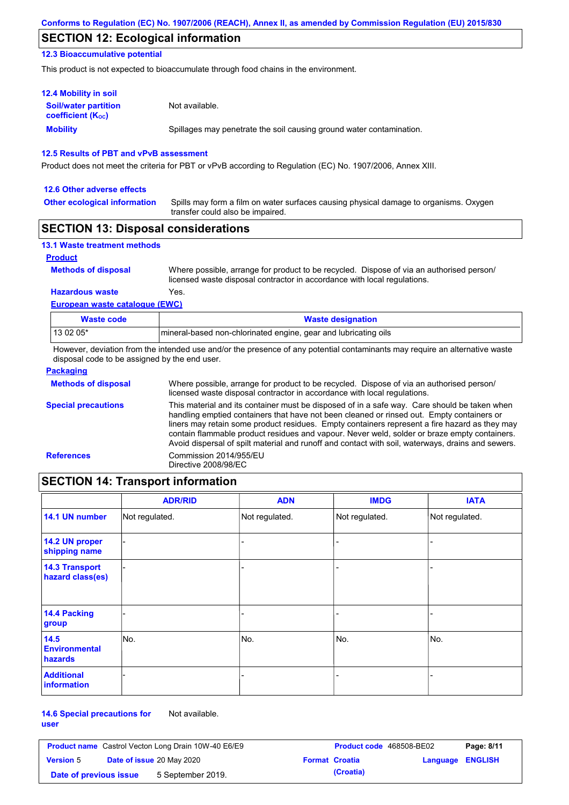## **SECTION 12: Ecological information**

#### **12.3 Bioaccumulative potential**

This product is not expected to bioaccumulate through food chains in the environment.

| <b>12.4 Mobility in soil</b>                                  |                                                                      |
|---------------------------------------------------------------|----------------------------------------------------------------------|
| <b>Soil/water partition</b><br>coefficient (K <sub>oc</sub> ) | Not available.                                                       |
| <b>Mobility</b>                                               | Spillages may penetrate the soil causing ground water contamination. |

#### **12.5 Results of PBT and vPvB assessment**

Product does not meet the criteria for PBT or vPvB according to Regulation (EC) No. 1907/2006, Annex XIII.

#### **12.6 Other adverse effects**

**Other ecological information**

Spills may form a film on water surfaces causing physical damage to organisms. Oxygen transfer could also be impaired.

### **SECTION 13: Disposal considerations**

| <b>13.1 Waste treatment methods</b> |                                                                                                                                                                      |
|-------------------------------------|----------------------------------------------------------------------------------------------------------------------------------------------------------------------|
| <b>Product</b>                      |                                                                                                                                                                      |
| <b>Methods of disposal</b>          | Where possible, arrange for product to be recycled. Dispose of via an authorised person/<br>licensed waste disposal contractor in accordance with local regulations. |
| <b>Hazardous waste</b>              | Yes.                                                                                                                                                                 |
| European waste catalogue (EWC)      |                                                                                                                                                                      |

| Waste code | <b>Waste designation</b>                                        |
|------------|-----------------------------------------------------------------|
| 13 02 05*  | mineral-based non-chlorinated engine, gear and lubricating oils |

However, deviation from the intended use and/or the presence of any potential contaminants may require an alternative waste disposal code to be assigned by the end user.

| <b>Packaging</b>           |                                                                                                                                                                                                                                                                                                                                                                                                                                                                                                 |
|----------------------------|-------------------------------------------------------------------------------------------------------------------------------------------------------------------------------------------------------------------------------------------------------------------------------------------------------------------------------------------------------------------------------------------------------------------------------------------------------------------------------------------------|
| <b>Methods of disposal</b> | Where possible, arrange for product to be recycled. Dispose of via an authorised person/<br>licensed waste disposal contractor in accordance with local regulations.                                                                                                                                                                                                                                                                                                                            |
| <b>Special precautions</b> | This material and its container must be disposed of in a safe way. Care should be taken when<br>handling emptied containers that have not been cleaned or rinsed out. Empty containers or<br>liners may retain some product residues. Empty containers represent a fire hazard as they may<br>contain flammable product residues and vapour. Never weld, solder or braze empty containers.<br>Avoid dispersal of spilt material and runoff and contact with soil, waterways, drains and sewers. |
| <b>References</b>          | Commission 2014/955/EU<br>Directive 2008/98/EC                                                                                                                                                                                                                                                                                                                                                                                                                                                  |

## **SECTION 14: Transport information**

|                                           | <b>ADR/RID</b> | <b>ADN</b>     | <b>IMDG</b>    | <b>IATA</b>    |
|-------------------------------------------|----------------|----------------|----------------|----------------|
| 14.1 UN number                            | Not regulated. | Not regulated. | Not regulated. | Not regulated. |
| 14.2 UN proper<br>shipping name           |                |                | -              |                |
| <b>14.3 Transport</b><br>hazard class(es) |                |                | -              |                |
| 14.4 Packing<br>group                     |                |                |                |                |
| 14.5<br><b>Environmental</b><br>hazards   | No.            | No.            | No.            | No.            |
| <b>Additional</b><br><b>information</b>   |                |                |                |                |

#### **14.6 Special precautions for user** Not available.

| <b>Product name</b> Castrol Vecton Long Drain 10W-40 E6/E9 |  |                                  | Product code 468508-BE02 | Page: 8/11            |                  |  |
|------------------------------------------------------------|--|----------------------------------|--------------------------|-----------------------|------------------|--|
| <b>Version 5</b>                                           |  | <b>Date of issue 20 May 2020</b> |                          | <b>Format Croatia</b> | Language ENGLISH |  |
| Date of previous issue                                     |  | 5 September 2019.                |                          | (Croatia)             |                  |  |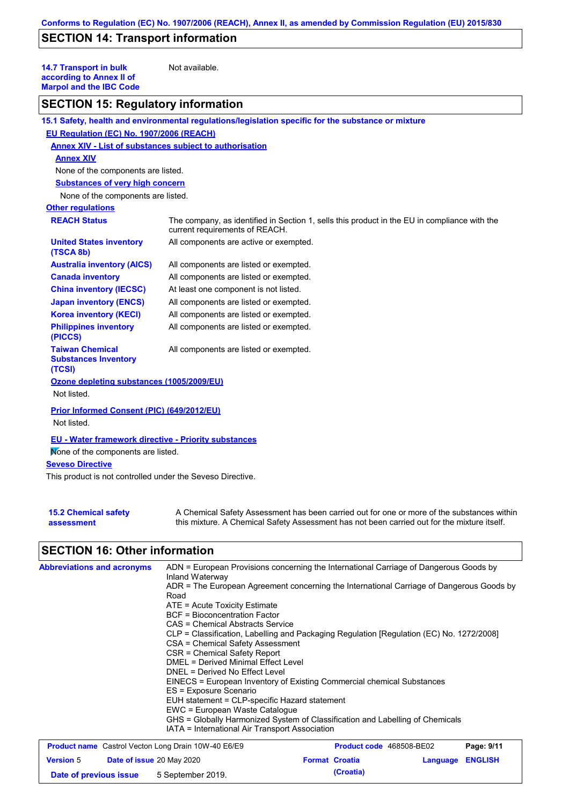## **SECTION 14: Transport information**

**14.7 Transport in bulk according to Annex II of Marpol and the IBC Code**

Not available.

# **SECTION 15: Regulatory information**

|                                                                  | 15.1 Safety, health and environmental regulations/legislation specific for the substance or mixture                            |
|------------------------------------------------------------------|--------------------------------------------------------------------------------------------------------------------------------|
| EU Regulation (EC) No. 1907/2006 (REACH)                         |                                                                                                                                |
| Annex XIV - List of substances subject to authorisation          |                                                                                                                                |
| <b>Annex XIV</b>                                                 |                                                                                                                                |
| None of the components are listed.                               |                                                                                                                                |
| <b>Substances of very high concern</b>                           |                                                                                                                                |
| None of the components are listed.                               |                                                                                                                                |
| <b>Other regulations</b>                                         |                                                                                                                                |
| <b>REACH Status</b>                                              | The company, as identified in Section 1, sells this product in the EU in compliance with the<br>current requirements of REACH. |
| <b>United States inventory</b><br>(TSCA 8b)                      | All components are active or exempted.                                                                                         |
| <b>Australia inventory (AICS)</b>                                | All components are listed or exempted.                                                                                         |
| <b>Canada inventory</b>                                          | All components are listed or exempted.                                                                                         |
| <b>China inventory (IECSC)</b>                                   | At least one component is not listed.                                                                                          |
| <b>Japan inventory (ENCS)</b>                                    | All components are listed or exempted.                                                                                         |
| <b>Korea inventory (KECI)</b>                                    | All components are listed or exempted.                                                                                         |
| <b>Philippines inventory</b><br>(PICCS)                          | All components are listed or exempted.                                                                                         |
| <b>Taiwan Chemical</b><br><b>Substances Inventory</b><br>(TCSI)  | All components are listed or exempted.                                                                                         |
| Ozone depleting substances (1005/2009/EU)                        |                                                                                                                                |
| Not listed.                                                      |                                                                                                                                |
| <b>Prior Informed Consent (PIC) (649/2012/EU)</b><br>Not listed. |                                                                                                                                |
| <b>EU - Water framework directive - Priority substances</b>      |                                                                                                                                |
| Mone of the components are listed.                               |                                                                                                                                |
| <b>Seveso Directive</b>                                          |                                                                                                                                |
| This product is not controlled under the Seveso Directive.       |                                                                                                                                |
|                                                                  |                                                                                                                                |

| <b>15.2 Chemical safety</b> | A Chemical Safety Assessment has been carried out for one or more of the substances within  |
|-----------------------------|---------------------------------------------------------------------------------------------|
| assessment                  | this mixture. A Chemical Safety Assessment has not been carried out for the mixture itself. |

## **SECTION 16: Other information**

| <b>Abbreviations and acronyms</b>                          | ADN = European Provisions concerning the International Carriage of Dangerous Goods by<br>Inland Waterway<br>ADR = The European Agreement concerning the International Carriage of Dangerous Goods by<br>Road<br>$ATE = Acute Toxicity Estimate$<br>BCF = Bioconcentration Factor<br>CAS = Chemical Abstracts Service<br>CLP = Classification, Labelling and Packaging Regulation [Regulation (EC) No. 1272/2008]<br>CSA = Chemical Safety Assessment<br>CSR = Chemical Safety Report<br>DMEL = Derived Minimal Effect Level<br>DNEL = Derived No Effect Level<br>EINECS = European Inventory of Existing Commercial chemical Substances<br>ES = Exposure Scenario<br>EUH statement = CLP-specific Hazard statement<br>EWC = European Waste Cataloque<br>GHS = Globally Harmonized System of Classification and Labelling of Chemicals<br>IATA = International Air Transport Association |                                 |                         |            |
|------------------------------------------------------------|-----------------------------------------------------------------------------------------------------------------------------------------------------------------------------------------------------------------------------------------------------------------------------------------------------------------------------------------------------------------------------------------------------------------------------------------------------------------------------------------------------------------------------------------------------------------------------------------------------------------------------------------------------------------------------------------------------------------------------------------------------------------------------------------------------------------------------------------------------------------------------------------|---------------------------------|-------------------------|------------|
| <b>Product name</b> Castrol Vecton Long Drain 10W-40 E6/E9 |                                                                                                                                                                                                                                                                                                                                                                                                                                                                                                                                                                                                                                                                                                                                                                                                                                                                                         | <b>Product code</b> 468508-BE02 |                         | Page: 9/11 |
| <b>Version 5</b><br>Date of issue 20 May 2020              |                                                                                                                                                                                                                                                                                                                                                                                                                                                                                                                                                                                                                                                                                                                                                                                                                                                                                         | <b>Format Croatia</b>           | <b>Language ENGLISH</b> |            |

**Date of previous issue 5** September 2019. **Croatia**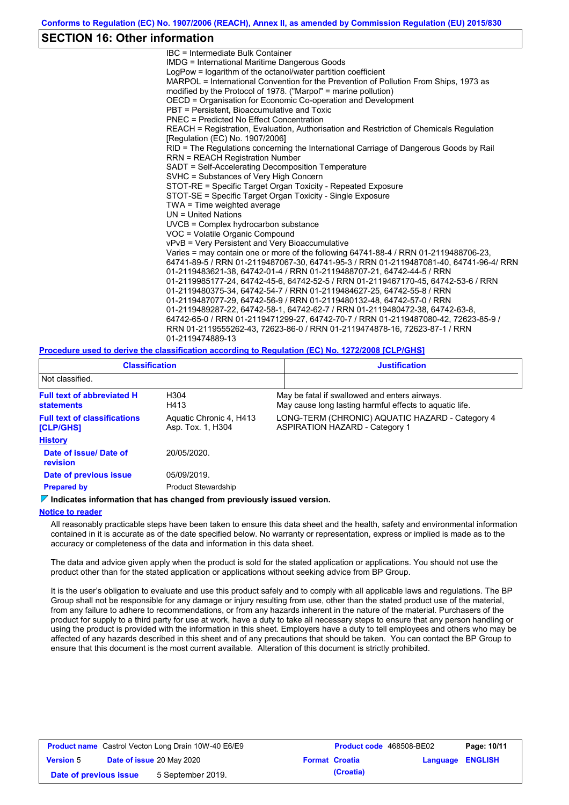### **SECTION 16: Other information**

IBC = Intermediate Bulk Container IMDG = International Maritime Dangerous Goods LogPow = logarithm of the octanol/water partition coefficient MARPOL = International Convention for the Prevention of Pollution From Ships, 1973 as modified by the Protocol of 1978. ("Marpol" = marine pollution) OECD = Organisation for Economic Co-operation and Development PBT = Persistent, Bioaccumulative and Toxic PNEC = Predicted No Effect Concentration REACH = Registration, Evaluation, Authorisation and Restriction of Chemicals Regulation [Regulation (EC) No. 1907/2006] RID = The Regulations concerning the International Carriage of Dangerous Goods by Rail RRN = REACH Registration Number SADT = Self-Accelerating Decomposition Temperature SVHC = Substances of Very High Concern STOT-RE = Specific Target Organ Toxicity - Repeated Exposure STOT-SE = Specific Target Organ Toxicity - Single Exposure TWA = Time weighted average UN = United Nations UVCB = Complex hydrocarbon substance VOC = Volatile Organic Compound vPvB = Very Persistent and Very Bioaccumulative Varies = may contain one or more of the following 64741-88-4 / RRN 01-2119488706-23, 64741-89-5 / RRN 01-2119487067-30, 64741-95-3 / RRN 01-2119487081-40, 64741-96-4/ RRN 01-2119483621-38, 64742-01-4 / RRN 01-2119488707-21, 64742-44-5 / RRN 01-2119985177-24, 64742-45-6, 64742-52-5 / RRN 01-2119467170-45, 64742-53-6 / RRN 01-2119480375-34, 64742-54-7 / RRN 01-2119484627-25, 64742-55-8 / RRN 01-2119487077-29, 64742-56-9 / RRN 01-2119480132-48, 64742-57-0 / RRN 01-2119489287-22, 64742-58-1, 64742-62-7 / RRN 01-2119480472-38, 64742-63-8, 64742-65-0 / RRN 01-2119471299-27, 64742-70-7 / RRN 01-2119487080-42, 72623-85-9 / RRN 01-2119555262-43, 72623-86-0 / RRN 01-2119474878-16, 72623-87-1 / RRN 01-2119474889-13

#### **Procedure used to derive the classification according to Regulation (EC) No. 1272/2008 [CLP/GHS]**

| <b>Classification</b>                                   |                                              | <b>Justification</b>                                                                                     |
|---------------------------------------------------------|----------------------------------------------|----------------------------------------------------------------------------------------------------------|
| Not classified.                                         |                                              |                                                                                                          |
| <b>Full text of abbreviated H</b><br><b>statements</b>  | H <sub>304</sub><br>H413                     | May be fatal if swallowed and enters airways.<br>May cause long lasting harmful effects to aquatic life. |
| <b>Full text of classifications</b><br><b>[CLP/GHS]</b> | Aquatic Chronic 4, H413<br>Asp. Tox. 1, H304 | LONG-TERM (CHRONIC) AQUATIC HAZARD - Category 4<br><b>ASPIRATION HAZARD - Category 1</b>                 |
| <b>History</b>                                          |                                              |                                                                                                          |
| Date of issue/Date of<br><b>revision</b>                | 20/05/2020.                                  |                                                                                                          |
| Date of previous issue<br>05/09/2019.                   |                                              |                                                                                                          |
| <b>Prepared by</b>                                      | <b>Product Stewardship</b>                   |                                                                                                          |

#### **Indicates information that has changed from previously issued version.**

#### **Notice to reader**

All reasonably practicable steps have been taken to ensure this data sheet and the health, safety and environmental information contained in it is accurate as of the date specified below. No warranty or representation, express or implied is made as to the accuracy or completeness of the data and information in this data sheet.

The data and advice given apply when the product is sold for the stated application or applications. You should not use the product other than for the stated application or applications without seeking advice from BP Group.

It is the user's obligation to evaluate and use this product safely and to comply with all applicable laws and regulations. The BP Group shall not be responsible for any damage or injury resulting from use, other than the stated product use of the material, from any failure to adhere to recommendations, or from any hazards inherent in the nature of the material. Purchasers of the product for supply to a third party for use at work, have a duty to take all necessary steps to ensure that any person handling or using the product is provided with the information in this sheet. Employers have a duty to tell employees and others who may be affected of any hazards described in this sheet and of any precautions that should be taken. You can contact the BP Group to ensure that this document is the most current available. Alteration of this document is strictly prohibited.

| <b>Product name</b> Castrol Vecton Long Drain 10W-40 E6/E9 |  | <b>Product code</b> 468508-BE02  |  | Page: 10/11           |                         |  |
|------------------------------------------------------------|--|----------------------------------|--|-----------------------|-------------------------|--|
| <b>Version 5</b>                                           |  | <b>Date of issue 20 May 2020</b> |  | <b>Format Croatia</b> | <b>Language ENGLISH</b> |  |
| Date of previous issue                                     |  | 5 September 2019.                |  | (Croatia)             |                         |  |